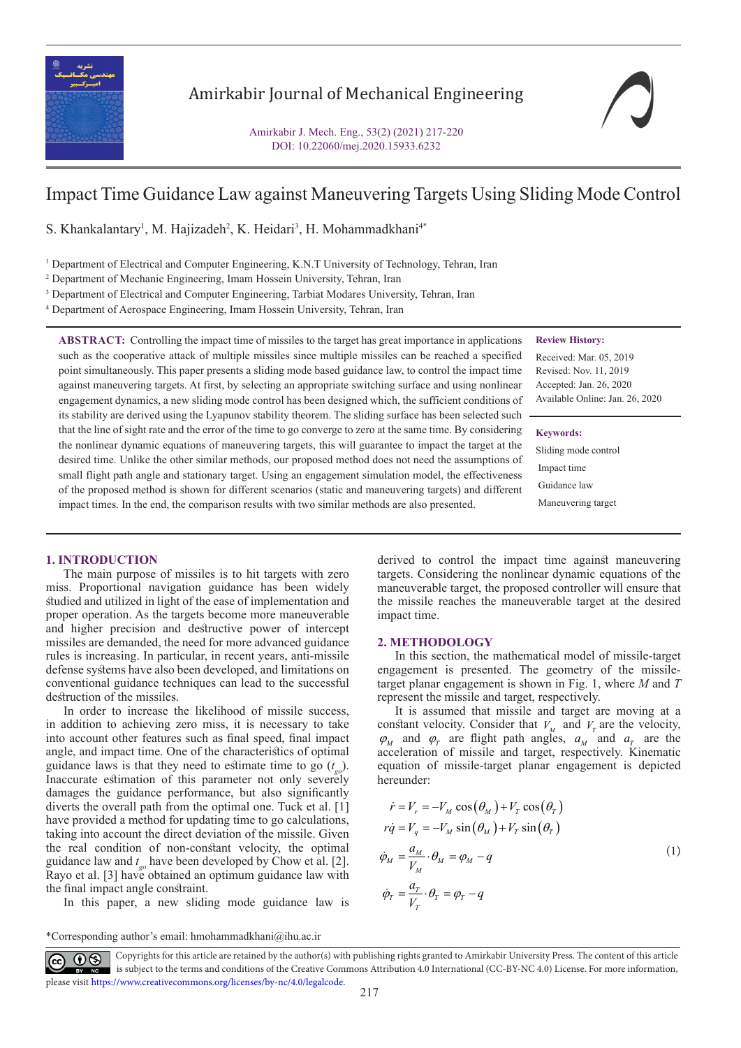

# Amirkabir Journal of Mechanical Engineering

Amirkabir J. Mech. Eng., 53(2) (2021) 217-220 DOI: 10.22060/mej.2020.15933.6232

# Impact Time Guidance Law against Maneuvering Targets Using Sliding Mode Control

S. Khankalantary<sup>1</sup>, M. Hajizadeh<sup>2</sup>, K. Heidari<sup>3</sup>, H. Mohammadkhani<sup>4\*</sup>

<sup>1</sup> Department of Electrical and Computer Engineering, K.N.T University of Technology, Tehran, Iran

2 Department of Mechanic Engineering, Imam Hossein University, Tehran, Iran

<sup>3</sup> Department of Electrical and Computer Engineering, Tarbiat Modares University, Tehran, Iran

4 Department of Aerospace Engineering, Imam Hossein University, Tehran, Iran

# **ABSTRACT:** Controlling the impact time of missiles to the target has great importance in applications such as the cooperative attack of multiple missiles since multiple missiles can be reached a specified point simultaneously. This paper presents a sliding mode based guidance law, to control the impact time against maneuvering targets. At first, by selecting an appropriate switching surface and using nonlinear engagement dynamics, a new sliding mode control has been designed which, the sufficient conditions of its stability are derived using the Lyapunov stability theorem. The sliding surface has been selected such that the line of sight rate and the error of the time to go converge to zero at the same time. By considering the nonlinear dynamic equations of maneuvering targets, this will guarantee to impact the target at the desired time. Unlike the other similar methods, our proposed method does not need the assumptions of small flight path angle and stationary target. Using an engagement simulation model, the effectiveness of the proposed method is shown for different scenarios (static and maneuvering targets) and different impact times. In the end, the comparison results with two similar methods are also presented.

## **Review History:**

Received: Mar. 05, 2019 Revised: Nov. 11, 2019 Accepted: Jan. 26, 2020 Available Online: Jan. 26, 2020

#### **Keywords:**

Sliding mode control Impact time Guidance law Maneuvering target

#### **1. INTRODUCTION**

The main purpose of missiles is to hit targets with zero miss. Proportional navigation guidance has been widely studied and utilized in light of the ease of implementation and proper operation. As the targets become more maneuverable and higher precision and destructive power of intercept missiles are demanded, the need for more advanced guidance rules is increasing. In particular, in recent years, anti-missile defense systems have also been developed, and limitations on conventional guidance techniques can lead to the successful destruction of the missiles.

In order to increase the likelihood of missile success, in addition to achieving zero miss, it is necessary to take into account other features such as final speed, final impact angle, and impact time. One of the characteristics of optimal guidance laws is that they need to estimate time to go (*t go*). Inaccurate estimation of this parameter not only severely damages the guidance performance, but also significantly diverts the overall path from the optimal one. Tuck et al. [1] have provided a method for updating time to go calculations, taking into account the direct deviation of the missile. Given the real condition of non-constant velocity, the optimal guidance law and *t go* have been developed by Chow et al. [2]. Rayo et al. [3] have obtained an optimum guidance law with the final impact angle constraint.

In this paper, a new sliding mode guidance law is

derived to control the impact time against maneuvering targets. Considering the nonlinear dynamic equations of the maneuverable target, the proposed controller will ensure that the missile reaches the maneuverable target at the desired impact time.

#### **2. METHODOLOGY**

In this section, the mathematical model of missile-target engagement is presented. The geometry of the missiletarget planar engagement is shown in Fig. 1, where *M* and *T* represent the missile and target, respectively.

It is assumed that missile and target are moving at a constant velocity. Consider that  $V_M$  and  $V_T$  are the velocity,  $\varphi_M$  and  $\varphi_T$  are flight path angles,  $a_M$  and  $a_T$  are the acceleration of missile and target, respectively. Kinematic equation of missile-target planar engagement is depicted hereunder:

$$
\dot{r} = V_r = -V_M \cos(\theta_M) + V_T \cos(\theta_T)
$$
  
\n
$$
r\dot{q} = V_q = -V_M \sin(\theta_M) + V_T \sin(\theta_T)
$$
  
\n
$$
\dot{\varphi}_M = \frac{a_M}{V_M} \cdot \theta_M = \varphi_M - q
$$
  
\n
$$
\dot{\varphi}_T = \frac{a_T}{V_T} \cdot \theta_T = \varphi_T - q
$$
\n(1)

\*Corresponding author's email: hmohammadkhani@ihu.ac.ir

 Copyrights for this article are retained by the author(s) with publishing rights granted to Amirkabir University Press. The content of this article is subject to the terms and conditions of the Creative Commons Attribution 4.0 International (CC-BY-NC 4.0) License. For more information, please visit https://www.creativecommons.org/licenses/by-nc/4.0/legalcode.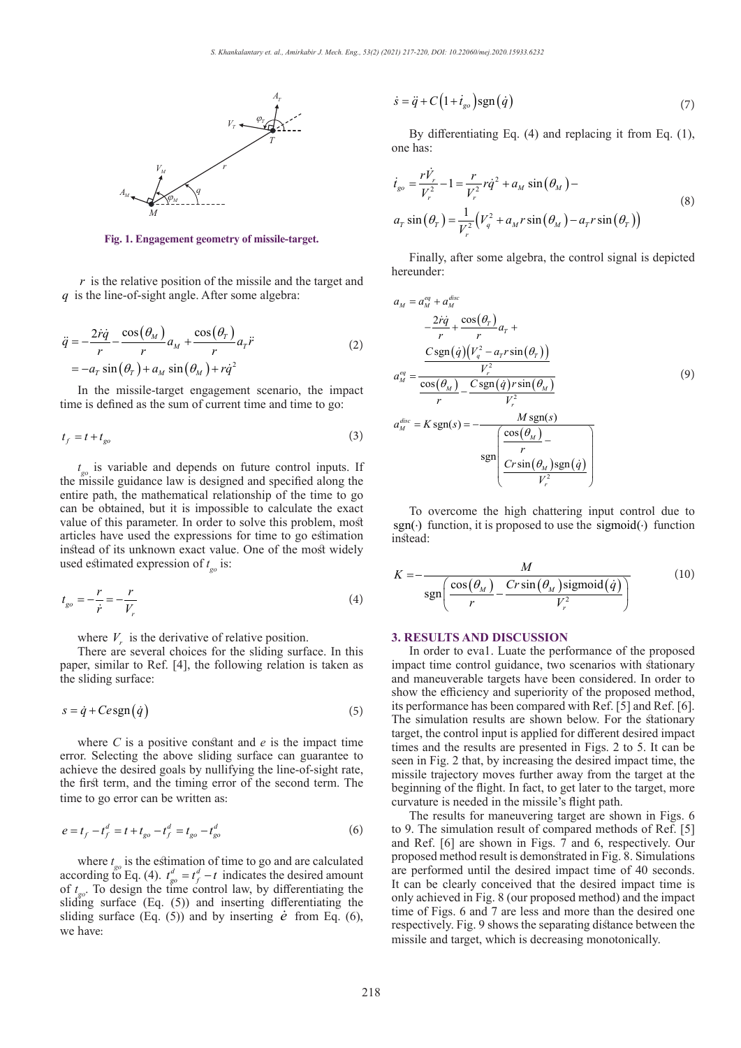

**Fig. 1. Engagement geometry of missile-target.**

*r* is the relative position of the missile and the target and *q* is the line-of-sight angle. After some algebra:

$$
\ddot{q} = -\frac{2\dot{r}\dot{q}}{r} - \frac{\cos(\theta_M)}{r} a_M + \frac{\cos(\theta_r)}{r} a_r \ddot{r}
$$
\n
$$
= -a_r \sin(\theta_r) + a_M \sin(\theta_M) + r\dot{q}^2
$$
\n(2)

In the missile-target engagement scenario, the impact time is defined as the sum of current time and time to go:

$$
t_f = t + t_{go} \tag{3}
$$

*t go* is variable and depends on future control inputs. If the missile guidance law is designed and specified along the entire path, the mathematical relationship of the time to go can be obtained, but it is impossible to calculate the exact value of this parameter. In order to solve this problem, most articles have used the expressions for time to go estimation instead of its unknown exact value. One of the most widely used estimated expression of *t go* is:

$$
t_{go} = -\frac{r}{\dot{r}} = -\frac{r}{V_r}
$$
 (4)

where  $V_r$  is the derivative of relative position.

There are several choices for the sliding surface. In this paper, similar to Ref. [4], the following relation is taken as the sliding surface:

$$
s = \dot{q} + C e \operatorname{sgn}(\dot{q}) \tag{5}
$$

where *C* is a positive constant and *e* is the impact time error. Selecting the above sliding surface can guarantee to achieve the desired goals by nullifying the line-of-sight rate, the first term, and the timing error of the second term. The time to go error can be written as:

$$
e = t_f - t_f^d = t + t_{go} - t_f^d = t_{go} - t_{go}^d
$$
 (6)

where  $t_{go}$  is the estimation of time to go and are calculated according to Eq. (4).  $t_{go}^d = t_f^d - t$  indicates the desired amount of  $t_{\rm go}$ . To design the time control law, by differentiating the sliding surface (Eq. (5)) and inserting differentiating the sliding surface (Eq.  $(5)$ ) and by inserting  $\dot{e}$  from Eq.  $(6)$ , we have:

$$
\dot{s} = \ddot{q} + C \left( 1 + \dot{t}_{go} \right) \text{sgn} \left( \dot{q} \right) \tag{7}
$$

By differentiating Eq. (4) and replacing it from Eq. (1), one has:

$$
\dot{t}_{go} = \frac{r\dot{V}_r}{V_r^2} - 1 = \frac{r}{V_r^2} r\dot{q}^2 + a_M \sin(\theta_M) -
$$
\n
$$
a_T \sin(\theta_T) = \frac{1}{V_r^2} (V_q^2 + a_M r \sin(\theta_M) - a_T r \sin(\theta_T))
$$
\n(8)

Finally, after some algebra, the control signal is depicted hereunder:

$$
a_M = a_M^{eq} + a_M^{disc}
$$
  
\n
$$
- \frac{2\dot{r}q}{r} + \frac{\cos(\theta_r)}{r} a_r +
$$
  
\n
$$
a_M^{eq} = \frac{\frac{C \operatorname{sgn}(\dot{q})(V_q^2 - a_r r \sin(\theta_r))}{V_r^2}}{\frac{\cos(\theta_M)}{r} - \frac{C \operatorname{sgn}(\dot{q}) r \sin(\theta_M)}{V_r^2}}
$$
  
\n
$$
a_M^{disc} = K \operatorname{sgn}(s) = -\frac{M \operatorname{sgn}(s)}{r}
$$
  
\n
$$
\frac{\operatorname{sgn}(\frac{\cos(\theta_M)}{r})}{V_r^2}
$$
  
\n
$$
\frac{C r \sin(\theta_M) \operatorname{sgn}(\dot{q})}{V_r^2}
$$

To overcome the high chattering input control due to sgn(.) function, it is proposed to use the sigmoid(.) function instead:

$$
K = -\frac{M}{\text{sgn}\left(\frac{\cos(\theta_M)}{r} - \frac{Cr\sin(\theta_M)\text{sigmoid}(\dot{q})}{V_r^2}\right)}
$$
(10)

#### **3. RESULTS AND DISCUSSION**

In order to eva1. Luate the performance of the proposed impact time control guidance, two scenarios with stationary and maneuverable targets have been considered. In order to show the efficiency and superiority of the proposed method, its performance has been compared with Ref. [5] and Ref. [6]. The simulation results are shown below. For the stationary target, the control input is applied for different desired impact times and the results are presented in Figs. 2 to 5. It can be seen in Fig. 2 that, by increasing the desired impact time, the missile trajectory moves further away from the target at the beginning of the flight. In fact, to get later to the target, more curvature is needed in the missile's flight path.

The results for maneuvering target are shown in Figs. 6 to 9. The simulation result of compared methods of Ref. [5] and Ref. [6] are shown in Figs. 7 and 6, respectively. Our proposed method result is demonstrated in Fig. 8. Simulations are performed until the desired impact time of 40 seconds. It can be clearly conceived that the desired impact time is only achieved in Fig. 8 (our proposed method) and the impact time of Figs. 6 and 7 are less and more than the desired one respectively. Fig. 9 shows the separating distance between the missile and target, which is decreasing monotonically.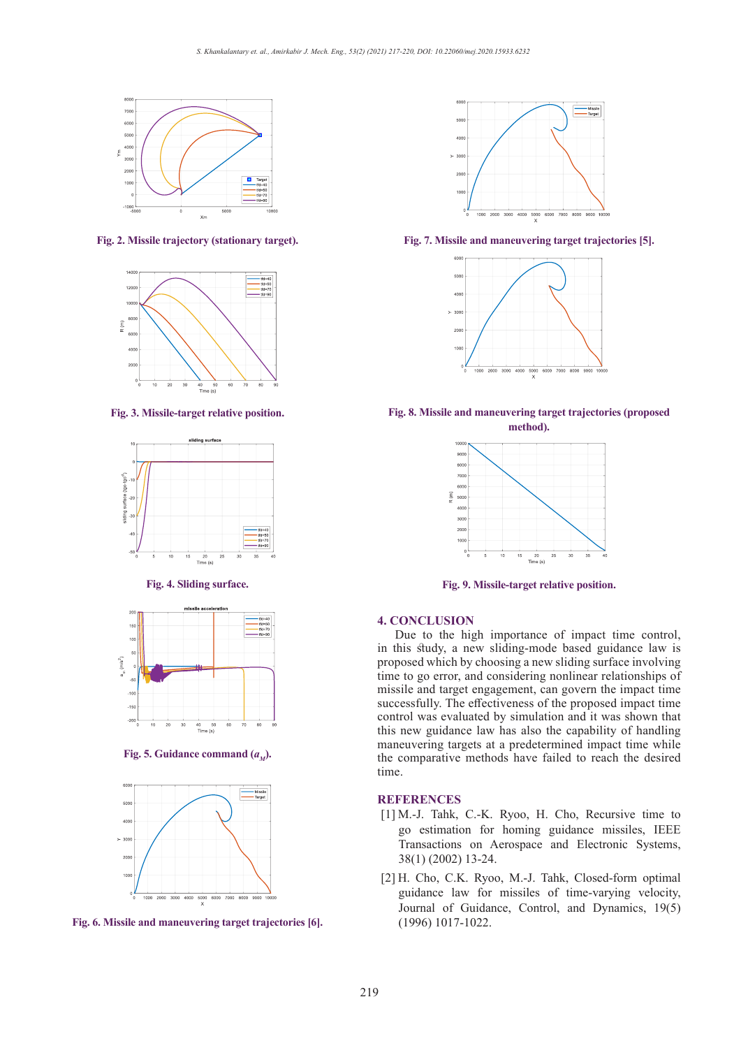

**Fig. 2. Missile trajectory (stationary target).**



**Fig. 3. Missile-target relative position.**



#### **Fig. 4. Sliding surface.**



**Fig. 5. Guidance command**  $(a_{\mu})$ **.** 







**Fig. 7. Missile and maneuvering target trajectories [5]. Fig. 7. Missile and maneuvering target trajectories [5].**







**Fig. 9. Missile-target relative position.**

## **4. CONCLUSION**

Due to the high importance of impact time control, in this study, a new sliding-mode based guidance law is proposed which by choosing a new sliding surface involving time to go error, and considering nonlinear relationships of missile and target engagement, can govern the impact time successfully. The effectiveness of the proposed impact time control was evaluated by simulation and it was shown that this new guidance law has also the capability of handling maneuvering targets at a predetermined impact time while the comparative methods have failed to reach the desired time.

# **REFERENCES**

- [1] M.-J. Tahk, C.-K. Ryoo, H. Cho, Recursive time to go estimation for homing guidance missiles, IEEE Transactions on Aerospace and Electronic Systems, 38(1) (2002) 13-24.
- [2] H. Cho, C.K. Ryoo, M.-J. Tahk, Closed-form optimal guidance law for missiles of time-varying velocity, Journal of Guidance, Control, and Dynamics, 19(5)